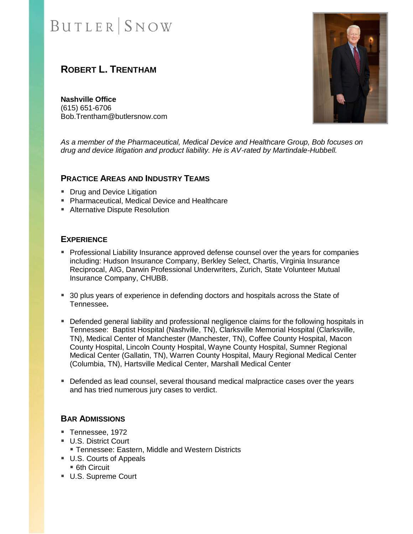# **BUTLER** SNOW

# **ROBERT L. TRENTHAM**

**Nashville Office** (615) 651-6706 Bob.Trentham@butlersnow.com



*As a member of the Pharmaceutical, Medical Device and Healthcare Group, Bob focuses on drug and device litigation and product liability. He is AV-rated by Martindale-Hubbell.*

#### **PRACTICE AREAS AND INDUSTRY TEAMS**

- Drug and Device Litigation
- Pharmaceutical, Medical Device and Healthcare
- Alternative Dispute Resolution

### **EXPERIENCE**

- **Professional Liability Insurance approved defense counsel over the years for companies** including: Hudson Insurance Company, Berkley Select, Chartis, Virginia Insurance Reciprocal, AIG, Darwin Professional Underwriters, Zurich, State Volunteer Mutual Insurance Company, CHUBB.
- 30 plus years of experience in defending doctors and hospitals across the State of Tennessee**.**
- **Defended general liability and professional negligence claims for the following hospitals in** Tennessee: Baptist Hospital (Nashville, TN), Clarksville Memorial Hospital (Clarksville, TN), Medical Center of Manchester (Manchester, TN), Coffee County Hospital, Macon County Hospital, Lincoln County Hospital, Wayne County Hospital, Sumner Regional Medical Center (Gallatin, TN), Warren County Hospital, Maury Regional Medical Center (Columbia, TN), Hartsville Medical Center, Marshall Medical Center
- **Defended as lead counsel, several thousand medical malpractice cases over the years** and has tried numerous jury cases to verdict.

### **BAR ADMISSIONS**

- Tennessee, 1972
- U.S. District Court
	- **Tennessee: Eastern, Middle and Western Districts**
- U.S. Courts of Appeals
	- 6th Circuit
- U.S. Supreme Court